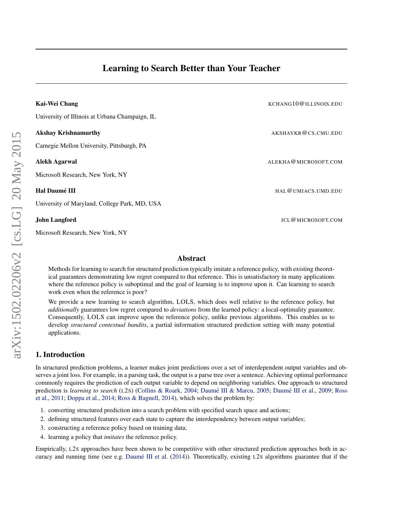<span id="page-0-0"></span>

| Kai-Wei Chang                                  | KCHANG10@ILLINOIS.EDU |
|------------------------------------------------|-----------------------|
| University of Illinois at Urbana Champaign, IL |                       |
| <b>Akshay Krishnamurthy</b>                    | AKSHAYKR@CS.CMU.EDU   |
| Carnegie Mellon University, Pittsburgh, PA     |                       |
| Alekh Agarwal                                  | ALEKHA@MICROSOFT.COM  |
| Microsoft Research, New York, NY               |                       |
| Hal Daumé III                                  | HAL@UMIACS.UMD.EDU    |
| University of Maryland, College Park, MD, USA  |                       |
| <b>John Langford</b>                           | JCL@MICROSOFT.COM     |

# Abstract

Methods for learning to search for structured prediction typically imitate a reference policy, with existing theoretical guarantees demonstrating low regret compared to that reference. This is unsatisfactory in many applications where the reference policy is suboptimal and the goal of learning is to improve upon it. Can learning to search work even when the reference is poor?

We provide a new learning to search algorithm, LOLS, which does well relative to the reference policy, but *additionally* guarantees low regret compared to *deviations* from the learned policy: a local-optimality guarantee. Consequently, LOLS can improve upon the reference policy, unlike previous algorithms. This enables us to develop *structured contextual bandits*, a partial information structured prediction setting with many potential applications.

# 1. Introduction

Microsoft Research, New York, NY

In structured prediction problems, a learner makes joint predictions over a set of interdependent output variables and observes a joint loss. For example, in a parsing task, the output is a parse tree over a sentence. Achieving optimal performance commonly requires the prediction of each output variable to depend on neighboring variables. One approach to structured prediction is *learning to search* (L2s) [\(Collins & Roark,](#page-13-0) [2004;](#page-13-0) Daumé III & Marcu, [2005;](#page-14-0) Daumé III et al., [2009;](#page-14-0) [Ross](#page-14-0) [et al.,](#page-14-0) [2011;](#page-14-0) [Doppa et al.,](#page-14-0) [2014;](#page-14-0) [Ross & Bagnell,](#page-14-0) [2014\)](#page-14-0), which solves the problem by:

- 1. converting structured prediction into a search problem with specified search space and actions;
- 2. defining structured features over each state to capture the interdependency between output variables;
- 3. constructing a reference policy based on training data;
- 4. learning a policy that *imitates* the reference policy.

Empirically, L2S approaches have been shown to be competitive with other structured prediction approaches both in ac-curacy and running time (see e.g. Daumé III et al. [\(2014\)](#page-14-0)). Theoretically, existing L2S algorithms guarantee that if the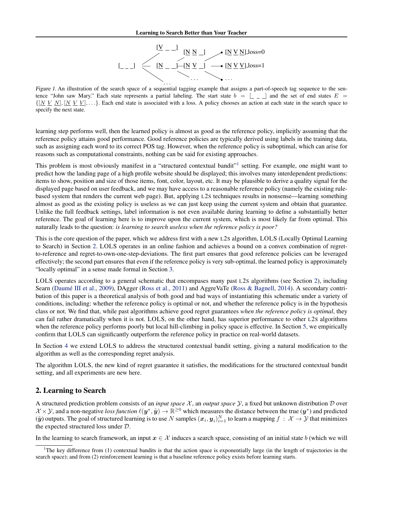

<span id="page-1-0"></span>Figure 1. An illustration of the search space of a sequential tagging example that assigns a part-of-speech tag sequence to the sentence "John saw Mary." Each state represents a partial labeling. The start state  $b = \begin{bmatrix} 1 & 1 \\ -1 & -1 \end{bmatrix}$  and the set of end states  $E =$  $\{[N V N], [N V N], \ldots \}$ . Each end state is associated with a loss. A policy chooses an action at each state in the search space to specify the next state.

learning step performs well, then the learned policy is almost as good as the reference policy, implicitly assuming that the reference policy attains good performance. Good reference policies are typically derived using labels in the training data, such as assigning each word to its correct POS tag. However, when the reference policy is suboptimal, which can arise for reasons such as computational constraints, nothing can be said for existing approaches.

This problem is most obviously manifest in a "structured contextual bandit"<sup>1</sup> setting. For example, one might want to predict how the landing page of a high profile website should be displayed; this involves many interdependent predictions: items to show, position and size of those items, font, color, layout, etc. It may be plausible to derive a quality signal for the displayed page based on user feedback, and we may have access to a reasonable reference policy (namely the existing rulebased system that renders the current web page). But, applying L2S techniques results in nonsense—learning something almost as good as the existing policy is useless as we can just keep using the current system and obtain that guarantee. Unlike the full feedback settings, label information is not even available during learning to define a substantially better reference. The goal of learning here is to improve upon the current system, which is most likely far from optimal. This naturally leads to the question: *is learning to search useless when the reference policy is poor?*

This is the core question of the paper, which we address first with a new L2S algorithm, LOLS (Locally Optimal Learning to Search) in Section 2. LOLS operates in an online fashion and achieves a bound on a convex combination of regretto-reference and regret-to-own-one-step-deviations. The first part ensures that good reference policies can be leveraged effectively; the second part ensures that even if the reference policy is very sub-optimal, the learned policy is approximately "locally optimal" in a sense made formal in Section [3.](#page-4-0)

LOLS operates according to a general schematic that encompases many past L2S algorithms (see Section 2), including Searn (Daumé III et al., [2009\)](#page-14-0), DAgger [\(Ross et al.,](#page-14-0) [2011\)](#page-14-0) and AggreVaTe [\(Ross & Bagnell,](#page-14-0) [2014\)](#page-14-0). A secondary contribution of this paper is a theoretical analysis of both good and bad ways of instantiating this schematic under a variety of conditions, including: whether the reference policy is optimal or not, and whether the reference policy is in the hypothesis class or not. We find that, while past algorithms achieve good regret guarantees *when the reference policy is optimal*, they can fail rather dramatically when it is not. LOLS, on the other hand, has superior performance to other L2S algorithms when the reference policy performs poorly but local hill-climbing in policy space is effective. In Section [5,](#page-8-0) we empirically confirm that LOLS can significantly outperform the reference policy in practice on real-world datasets.

In Section [4](#page-7-0) we extend LOLS to address the structured contextual bandit setting, giving a natural modification to the algorithm as well as the corresponding regret analysis.

The algorithm LOLS, the new kind of regret guarantee it satisfies, the modifications for the structured contextual bandit setting, and all experiments are new here.

# 2. Learning to Search

A structured prediction problem consists of an *input space* X , an *output space* Y, a fixed but unknown distribution D over  $\mathcal{X} \times \mathcal{Y}$ , and a non-negative loss function  $\ell(y^*, \hat{y}) \to \mathbb{R}^{\geq 0}$  which measures the distance between the true  $(y^*)$  and predicted  $(y)$  outputs. The goal of structured learning is to use N samples  $(x_i, y_i)_{i=1}^N$  to learn a mapping  $f: \mathcal{X} \to \mathcal{Y}$  that minimizes the expected structured loss under D.

In the learning to search framework, an input  $x \in \mathcal{X}$  induces a search space, consisting of an initial state b (which we will

<sup>&</sup>lt;sup>1</sup>The key difference from (1) contextual bandits is that the action space is exponentially large (in the length of trajectories in the search space); and from (2) reinforcement learning is that a baseline reference policy exists before learning starts.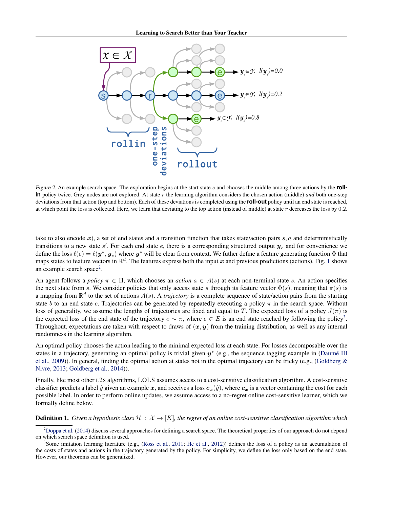

Figure 2. An example search space. The exploration begins at the start state s and chooses the middle among three actions by the **rollin** policy twice. Grey nodes are not explored. At state r the learning algorithm considers the chosen action (middle) *and* both one-step deviations from that action (top and bottom). Each of these deviations is completed using the **roll-out** policy until an end state is reached, at which point the loss is collected. Here, we learn that deviating to the top action (instead of middle) at state  $r$  decreases the loss by 0.2.

take to also encode x), a set of end states and a transition function that takes state/action pairs  $s, a$  and deterministically transitions to a new state s'. For each end state e, there is a corresponding structured output  $y_e$  and for convenience we define the loss  $\ell(e) = \ell(\bm{y}^*, \bm{y}_e)$  where  $\bm{y}^*$  will be clear from context. We futher define a feature generating function  $\Phi$  that maps states to feature vectors in  $\mathbb{R}^d$ . The features express both the input x and previous predictions (actions). Fig. [1](#page-1-0) shows an example search space<sup>2</sup>.

An agent follows a *policy*  $\pi \in \Pi$ , which chooses an *action*  $a \in A(s)$  at each non-terminal state s. An action specifies the next state from s. We consider policies that only access state s through its feature vector  $\Phi(s)$ , meaning that  $\pi(s)$  is a mapping from  $\mathbb{R}^d$  to the set of actions  $A(s)$ . A *trajectory* is a complete sequence of state/action pairs from the starting state b to an end state e. Trajectories can be generated by repeatedly executing a policy  $\pi$  in the search space. Without loss of generality, we assume the lengths of trajectories are fixed and equal to T. The expected loss of a policy  $J(\pi)$  is the expected loss of the end state of the trajectory  $e \sim \pi$ , where  $e \in E$  is an end state reached by following the policy<sup>3</sup>. Throughout, expectations are taken with respect to draws of  $(x, y)$  from the training distribution, as well as any internal randomness in the learning algorithm.

An optimal policy chooses the action leading to the minimal expected loss at each state. For losses decomposable over the states in a trajectory, generating an optimal policy is trivial given  $y^*$  (e.g., the sequence tagging example in (Daumé III [et al.,](#page-14-0) [2009\)](#page-14-0)). In general, finding the optimal action at states not in the optimal trajectory can be tricky (e.g., [\(Goldberg &](#page-14-0) [Nivre,](#page-14-0) [2013;](#page-14-0) [Goldberg et al.,](#page-14-0) [2014\)](#page-14-0)).

Finally, like most other L2S algorithms, LOLS assumes access to a cost-sensitive classification algorithm. A cost-sensitive classifier predicts a label  $\hat{y}$  given an example x, and receives a loss  $c_x(\hat{y})$ , where  $c_x$  is a vector containing the cost for each possible label. In order to perform online updates, we assume access to a no-regret online cost-sensitive learner, which we formally define below.

**Definition 1.** Given a hypothesis class  $\mathcal{H}: \mathcal{X} \to [K]$ , the regret of an online cost-sensitive classification algorithm which

 $2$ [Doppa et al.](#page-14-0) [\(2014\)](#page-14-0) discuss several approaches for defining a search space. The theoretical properties of our approach do not depend on which search space definition is used.

<sup>&</sup>lt;sup>3</sup> Some imitation learning literature (e.g., [\(Ross et al.,](#page-14-0) [2011;](#page-14-0) [He et al.,](#page-14-0) [2012\)](#page-14-0)) defines the loss of a policy as an accumulation of the costs of states and actions in the trajectory generated by the policy. For simplicity, we define the loss only based on the end state. However, our theorems can be generalized.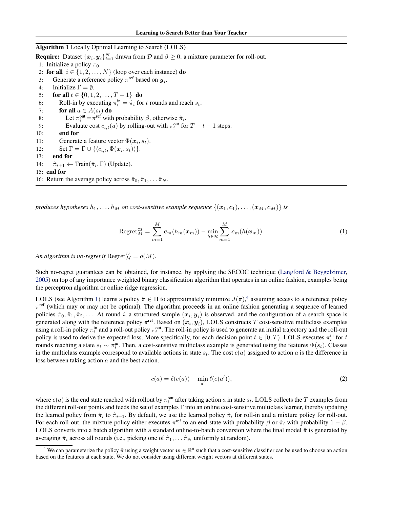<span id="page-3-0"></span>Algorithm 1 Locally Optimal Learning to Search (LOLS) **Require:** Dataset  $\{x_i, y_i\}_{i=1}^N$  drawn from  $D$  and  $\beta \ge 0$ : a mixture parameter for roll-out. 1: Initialize a policy  $\pi_0$ . 2: for all  $i \in \{1, 2, ..., N\}$  (loop over each instance) do 3: Generate a reference policy  $\pi^{\text{ref}}$  based on  $y_i$ . 4: Initialize  $\Gamma = \emptyset$ . 5: for all  $t \in \{0, 1, 2, \ldots, T-1\}$  do 6: Roll-in by executing  $\pi_i^{\text{in}} = \hat{\pi}_i$  for t rounds and reach  $s_t$ . 7: for all  $a \in A(s_t)$  do 8: Let  $\pi_i^{\text{out}} = \pi^{\text{ref}}$  with probability  $\beta$ , otherwise  $\hat{\pi}_i$ . 9: Evaluate cost  $c_{i,t}(a)$  by rolling-out with  $\pi_i^{\text{out}}$  for  $T - t - 1$  steps. 10: end for 11: Generate a feature vector  $\Phi(\mathbf{x}_i, s_t)$ . 12: Set  $\Gamma = \Gamma \cup \{ \langle c_{i,t}, \Phi(\boldsymbol{x}_i, s_t) \rangle \}.$ 13: end for 14:  $\hat{\pi}_{i+1} \leftarrow \text{Train}(\hat{\pi}_i, \Gamma)$  (Update). 15: end for 16: Return the average policy across  $\hat{\pi}_0, \hat{\pi}_1, \dots, \hat{\pi}_N$ .

*produces hypotheses*  $h_1, \ldots, h_M$  *on cost-sensitive example sequence*  $\{(\bm{x}_1, \bm{c}_1), \ldots, (\bm{x}_M, \bm{c}_M)\}$  *is* 

$$
\operatorname{Regret}_{M}^{\mathrm{cs}} = \sum_{m=1}^{M} c_m(h_m(x_m)) - \min_{h \in \mathcal{H}} \sum_{m=1}^{M} c_m(h(x_m)). \tag{1}
$$

An algorithm is no-regret if  $\text{Regret}_M^{\text{CS}} = o(M)$ .

Such no-regret guarantees can be obtained, for instance, by applying the SECOC technique [\(Langford & Beygelzimer,](#page-14-0) [2005\)](#page-14-0) on top of any importance weighted binary classification algorithm that operates in an online fashion, examples being the perceptron algorithm or online ridge regression.

LOLS (see Algorithm 1) learns a policy  $\hat{\pi} \in \Pi$  to approximately minimize  $J(\pi)$ ,<sup>4</sup> assuming access to a reference policy  $\pi^{\text{ref}}$  (which may or may not be optimal). The algorithm proceeds in an online fashion generating a sequence of learned policies  $\hat{\pi}_0, \hat{\pi}_1, \hat{\pi}_2, \ldots$  At round i, a structured sample  $(\bm{x}_i, \bm{y}_i)$  is observed, and the configuration of a search space is generated along with the reference policy  $\pi^{\text{ref}}$ . Based on  $(x_i, y_i)$ , LOLS constructs T cost-sensitive multiclass examples using a roll-in policy  $\pi_i^{\text{in}}$  and a roll-out policy  $\pi_i^{\text{out}}$ . The roll-in policy is used to generate an initial trajectory and the roll-out policy is used to derive the expected loss. More specifically, for each decision point  $t \in [0, T)$ , LOLS executes  $\pi_i^{\text{in}}$  for  $t$ rounds reaching a state  $s_t \sim \pi_i^{\text{in}}$ . Then, a cost-sensitive multiclass example is generated using the features  $\Phi(s_t)$ . Classes in the multiclass example correspond to available actions in state  $s_t$ . The cost  $c(a)$  assigned to action a is the difference in loss between taking action a and the best action.

$$
c(a) = \ell(e(a)) - \min_{a'} \ell(e(a')), \qquad (2)
$$

where  $e(a)$  is the end state reached with rollout by  $\pi_i^{out}$  after taking action a in state  $s_t$ . LOLS collects the T examples from the different roll-out points and feeds the set of examples  $\Gamma$  into an online cost-sensitive multiclass learner, thereby updating the learned policy from  $\hat{\pi}_i$  to  $\hat{\pi}_{i+1}$ . By default, we use the learned policy  $\hat{\pi}_i$  for roll-in and a mixture policy for roll-out. For each roll-out, the mixture policy either executes  $\pi^{\text{ref}}$  to an end-state with probability  $\beta$  or  $\hat{\pi}_i$  with probability  $1-\beta$ . LOLS converts into a batch algorithm with a standard online-to-batch conversion where the final model  $\bar{\pi}$  is generated by averaging  $\hat{\pi}_i$  across all rounds (i.e., picking one of  $\hat{\pi}_1, \dots, \hat{\pi}_N$  uniformly at random).

<sup>&</sup>lt;sup>4</sup> We can parameterize the policy  $\hat{\pi}$  using a weight vector  $w \in \mathbb{R}^d$  such that a cost-sensitive classifier can be used to choose an action based on the features at each state. We do not consider using different weight vectors at different states.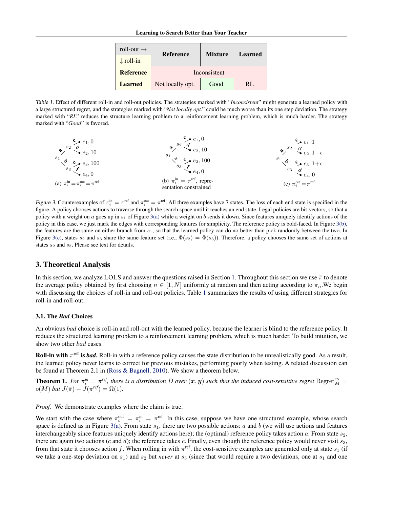| roll-out $\rightarrow$ | <b>Reference</b> | <b>Mixture</b> | <b>Learned</b> |  |
|------------------------|------------------|----------------|----------------|--|
| $\downarrow$ roll-in   |                  |                |                |  |
| <b>Reference</b>       | Inconsistent     |                |                |  |
| <b>Learned</b>         | Not locally opt. | Good           | RL             |  |

<span id="page-4-0"></span>Table 1. Effect of different roll-in and roll-out policies. The strategies marked with "*Inconsistent*" might generate a learned policy with a large structured regret, and the strategies marked with "*Not locally opt.*" could be much worse than its one step deviation. The strategy marked with "*RL*" reduces the structure learning problem to a reinforcement learning problem, which is much harder. The strategy marked with "*Good*" is favored.



Figure 3. Counterexamples of  $\pi_i^{\text{in}} = \pi^{\text{ref}}$  and  $\pi_i^{\text{out}} = \pi^{\text{ref}}$ . All three examples have 7 states. The loss of each end state is specified in the figure. A policy chooses actions to traverse through the search space until it reaches an end state. Legal policies are bit-vectors, so that a policy with a weight on a goes up in  $s_1$  of Figure 3(a) while a weight on b sends it down. Since features uniquely identify actions of the policy in this case, we just mark the edges with corresponding features for simplicity. The reference policy is bold-faced. In Figure 3(b), the features are the same on either branch from  $s_1$ , so that the learned policy can do no better than pick randomly between the two. In Figure 3(c), states  $s_2$  and  $s_3$  share the same feature set (i.e.,  $\Phi(s_2) = \Phi(s_3)$ ). Therefore, a policy chooses the same set of actions at states  $s_2$  and  $s_3$ . Please see text for details.

# 3. Theoretical Analysis

In this section, we analyze LOLS and answer the questions raised in Section [1.](#page-0-0) Throughout this section we use  $\bar{\pi}$  to denote the average policy obtained by first choosing  $n \in [1, N]$  uniformly at random and then acting according to  $\pi_n$ . We begin with discussing the choices of roll-in and roll-out policies. Table 1 summarizes the results of using different strategies for roll-in and roll-out.

#### 3.1. The *Bad* Choices

An obvious *bad* choice is roll-in and roll-out with the learned policy, because the learner is blind to the reference policy. It reduces the structured learning problem to a reinforcement learning problem, which is much harder. To build intuition, we show two other *bad* cases.

Roll-in with  $\pi^{\text{ref}}$  is *bad*. Roll-in with a reference policy causes the state distribution to be unrealistically good. As a result, the learned policy never learns to correct for previous mistakes, performing poorly when testing. A related discussion can be found at Theorem 2.1 in [\(Ross & Bagnell,](#page-14-0) [2010\)](#page-14-0). We show a theorem below.

**Theorem 1.** For  $\pi_i^{in} = \pi^{ref}$ , there is a distribution D over  $(x, y)$  such that the induced cost-sensitive regret  $Regret_M^{cs}$  $o(M)$  *but*  $J(\bar{\pi}) - J(\pi^{ref}) = \Omega(1)$ *.* 

*Proof.* We demonstrate examples where the claim is true.

We start with the case where  $\pi_i^{\text{out}} = \pi_i^{\text{in}} = \pi^{\text{ref}}$ . In this case, suppose we have one structured example, whose search space is defined as in Figure 3(a). From state  $s_1$ , there are two possible actions: a and b (we will use actions and features interchangeably since features uniquely identify actions here); the (optimal) reference policy takes action  $a$ . From state  $s_2$ , there are again two actions (c and d); the reference takes c. Finally, even though the reference policy would never visit  $s_3$ , from that state it chooses action f. When rolling in with  $\pi^{\text{ref}}$ , the cost-sensitive examples are generated only at state  $s_1$  (if we take a one-step deviation on  $s_1$ ) and  $s_2$  but *never* at  $s_3$  (since that would require a two deviations, one at  $s_1$  and one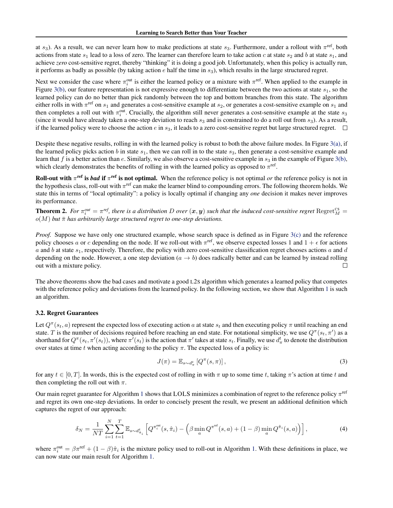<span id="page-5-0"></span>at  $s_3$ ). As a result, we can never learn how to make predictions at state  $s_3$ . Furthermore, under a rollout with  $\pi^{\text{ref}}$ , both actions from state  $s_1$  lead to a loss of zero. The learner can therefore learn to take action c at state  $s_2$  and b at state  $s_1$ , and achieve *zero* cost-sensitive regret, thereby "thinking" it is doing a good job. Unfortunately, when this policy is actually run, it performs as badly as possible (by taking action  $e$  half the time in  $s_3$ ), which results in the large structured regret.

Next we consider the case where  $\pi_i^{\text{out}}$  is either the learned policy or a mixture with  $\pi^{\text{ref}}$ . When applied to the example in Figure [3\(b\),](#page-4-0) our feature representation is not expressive enough to differentiate between the two actions at state  $s<sub>1</sub>$ , so the learned policy can do no better than pick randomly between the top and bottom branches from this state. The algorithm either rolls in with  $\pi^{\text{ref}}$  on  $s_1$  and generates a cost-sensitive example at  $s_2$ , or generates a cost-sensitive example on  $s_1$  and then completes a roll out with  $\pi_i^{\text{out}}$ . Crucially, the algorithm still never generates a cost-sensitive example at the state  $s_3$ (since it would have already taken a one-step deviation to reach  $s_3$  and is constrained to do a roll out from  $s_3$ ). As a result, if the learned policy were to choose the action e in  $s_3$ , it leads to a zero cost-sensitive regret but large structured regret.  $\Box$ 

Despite these negative results, rolling in with the learned policy is robust to both the above failure modes. In Figure [3\(a\),](#page-4-0) if the learned policy picks action b in state  $s_1$ , then we can roll in to the state  $s_3$ , then generate a cost-sensitive example and learn that f is a better action than e. Similarly, we also observe a cost-sensitive example in  $s_3$  in the example of Figure [3\(b\),](#page-4-0) which clearly demonstrates the benefits of rolling in with the learned policy as opposed to  $\pi^{\text{ref}}$ .

**Roll-out with**  $\pi^{ref}$  is *bad* if  $\pi^{ref}$  is not optimal. When the reference policy is not optimal *or* the reference policy is not in the hypothesis class, roll-out with  $\pi^{\text{ref}}$  can make the learner blind to compounding errors. The following theorem holds. We state this in terms of "local optimality": a policy is locally optimal if changing any *one* decision it makes never improves its performance.

**Theorem 2.** For  $\pi_i^{out} = \pi^{ref}$ , there is a distribution D over  $(x, y)$  such that the induced cost-sensitive regret  $Regret_M^{cs} =$  $o(M)$  *but*  $\bar{\pi}$  *has arbitrarily large structured regret to one-step deviations.* 

*Proof.* Suppose we have only one structured example, whose search space is defined as in Figure [3\(c\)](#page-4-0) and the reference policy chooses a or c depending on the node. If we roll-out with  $\pi^{\text{ref}}$ , we observe expected losses 1 and  $1 + \epsilon$  for actions a and b at state  $s_1$ , respectively. Therefore, the policy with zero cost-sensitive classification regret chooses actions a and d depending on the node. However, a one step deviation  $(a \to b)$  does radically better and can be learned by instead rolling out with a mixture policy. П

The above theorems show the bad cases and motivate a good L2S algorithm which generates a learned policy that competes with the reference policy and deviations from the learned policy. In the following section, we show that Algorithm [1](#page-3-0) is such an algorithm.

### 3.2. Regret Guarantees

Let  $Q^{\pi}(s_t, a)$  represent the expected loss of executing action a at state  $s_t$  and then executing policy  $\pi$  until reaching an end state. T is the number of decisions required before reaching an end state. For notational simplicity, we use  $Q^{\pi}(s_t, \pi')$  as a shorthand for  $Q^{\pi}(s_t, \pi'(s_t))$ , where  $\pi'(s_t)$  is the action that  $\pi'$  takes at state  $s_t$ . Finally, we use  $d^t_{\pi}$  to denote the distribution over states at time t when acting according to the policy  $\pi$ . The expected loss of a policy is:

$$
J(\pi) = \mathbb{E}_{s \sim d_{\pi}^{t}} \left[ Q^{\pi}(s, \pi) \right],
$$
\n(3)

for any  $t \in [0, T]$ . In words, this is the expected cost of rolling in with  $\pi$  up to some time t, taking  $\pi$ 's action at time t and then completing the roll out with  $\pi$ .

Our main regret guarantee for Algorithm [1](#page-3-0) shows that LOLS minimizes a combination of regret to the reference policy  $\pi^{\text{ref}}$ and regret its own one-step deviations. In order to concisely present the result, we present an additional definition which captures the regret of our approach:

$$
\delta_N = \frac{1}{NT} \sum_{i=1}^N \sum_{t=1}^T \mathbb{E}_{s \sim d_{\tilde{\pi}_i}^t} \left[ Q^{\pi_i^{\text{out}}}(s, \hat{\pi}_i) - \left( \beta \min_a Q^{\pi^{\text{ref}}}(s, a) + (1 - \beta) \min_a Q^{\hat{\pi}_i}(s, a) \right) \right],\tag{4}
$$

where  $\pi_i^{\text{out}} = \beta \pi^{\text{ref}} + (1 - \beta) \hat{\pi}_i$  is the mixture policy used to roll-out in Algorithm [1.](#page-3-0) With these definitions in place, we can now state our main result for Algorithm [1.](#page-3-0)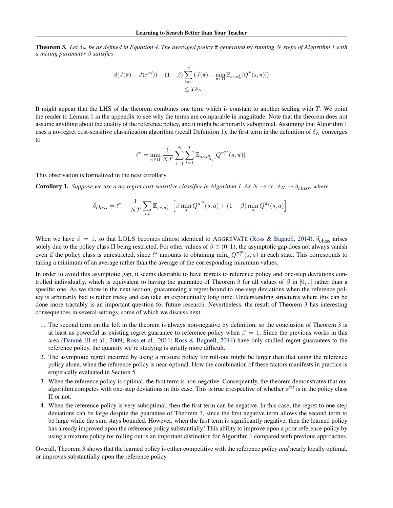<span id="page-6-0"></span>**Theorem 3.** Let  $\delta_N$  be as defined in Equation [4.](#page-5-0) The averaged policy  $\bar{\pi}$  generated by running N steps of Algorithm [1](#page-3-0) with *a mixing parameter* β *satisfies*

$$
\beta(J(\bar{\pi}) - J(\pi^{ref})) + (1 - \beta) \sum_{t=1}^{T} \left( J(\bar{\pi}) - \min_{\pi \in \Pi} \mathbb{E}_{s \sim d_{\bar{\pi}}} [Q^{\bar{\pi}}(s, \pi)] \right) \leq T \delta_N.
$$

It might appear that the LHS of the theorem combines one term which is constant to another scaling with  $T$ . We point the reader to Lemma [1](#page-10-0) in the appendix to see why the terms are comparable in magnitude. Note that the theorem does not assume anything about the quality of the reference policy, and it might be arbitrarily suboptimal. Assuming that Algorithm [1](#page-3-0) uses a no-regret cost-sensitive classification algorithm (recall Definition [1\)](#page-3-0), the first term in the definition of  $\delta_N$  converges to

$$
\ell^* = \min_{\pi \in \Pi} \frac{1}{NT} \sum_{i=1}^N \sum_{t=1}^T \mathbb{E}_{s \sim d_{\hat{\pi}_i}^t} [Q^{\pi_i^{\text{out}}}(s, \pi)].
$$

This observation is formalized in the next corollary.

**Corollary [1.](#page-3-0)** *Suppose we use a no-regret cost-sensitive classifier in Algorithm 1. As*  $N \to \infty$ ,  $\delta_N \to \delta_{class}$ *, where* 

$$
\delta_{\text{class}} = \ell^* - \frac{1}{NT} \sum_{i,t} \mathbb{E}_{s\sim d_{\hat{\pi}_i}^t} \left[ \beta \min_a Q^{\pi^{\text{ref}}}(s,a) + (1-\beta) \min_a Q^{\hat{\pi}_i}(s,a) \right].
$$

When we have  $\beta = 1$ , so that LOLS becomes almost identical to AGGREVATE [\(Ross & Bagnell,](#page-14-0) [2014\)](#page-14-0),  $\delta_{\text{class}}$  arises solely due to the policy class Π being restricted. For other values of  $\beta \in (0,1)$ , the asymptotic gap does not always vanish even if the policy class is unrestricted, since  $\ell^*$  amounts to obtaining  $\min_a Q^{\pi_i^{\text{out}}}(s, a)$  in each state. This corresponds to taking a minimum of an average rather than the average of the corresponding minimum values.

In order to avoid this asymptotic gap, it seems desirable to have regrets to reference policy and one-step deviations controlled individually, which is equivalent to having the guarantee of Theorem 3 for all values of  $\beta$  in [0, 1] rather than a specific one. As we show in the next section, guaranteeing a regret bound to one-step deviations when the reference policy is arbitrarily bad is rather tricky and can take an exponentially long time. Understanding structures where this can be done more tractably is an important question for future research. Nevertheless, the result of Theorem 3 has interesting consequences in several settings, some of which we discuss next.

- 1. The second term on the left in the theorem is always non-negative by definition, so the conclusion of Theorem 3 is at least as powerful as existing regret guarantee to reference policy when  $\beta = 1$ . Since the previous works in this area (Daumé III et al., [2009;](#page-14-0) [Ross et al.,](#page-14-0) [2011;](#page-14-0) [Ross & Bagnell,](#page-14-0) [2014\)](#page-14-0) have only studied regret guarantees to the reference policy, the quantity we're studying is strictly more difficult.
- 2. The asymptotic regret incurred by using a mixture policy for roll-out might be larger than that using the reference policy alone, when the reference policy is near-optimal. How the combination of these factors manifests in practice is empirically evaluated in Section [5.](#page-8-0)
- 3. When the reference policy is optimal, the first term is non-negative. Consequently, the theorem demonstrates that our algorithm competes with one-step deviations in this case. This is true irrespective of whether  $\pi^{\text{ref}}$  is in the policy class Π or not.
- 4. When the reference policy is very suboptimal, then the first term can be negative. In this case, the regret to one-step deviations can be large despite the guarantee of Theorem 3, since the first negative term allows the second term to be large while the sum stays bounded. However, when the first term is significantly negative, then the learned policy has already improved upon the reference policy substantially! This ability to improve upon a poor reference policy by using a mixture policy for rolling out is an important distinction for Algorithm [1](#page-3-0) compared with previous approaches.

Overall, Theorem 3 shows that the learned policy is either competitive with the reference policy *and* nearly locally optimal, or improves substantially upon the reference policy.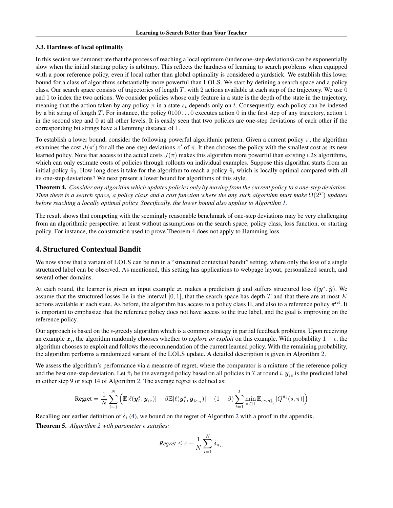#### <span id="page-7-0"></span>3.3. Hardness of local optimality

In this section we demonstrate that the process of reaching a local optimum (under one-step deviations) can be exponentially slow when the initial starting policy is arbitrary. This reflects the hardness of learning to search problems when equipped with a poor reference policy, even if local rather than global optimality is considered a yardstick. We establish this lower bound for a class of algorithms substantially more powerful than LOLS. We start by defining a search space and a policy class. Our search space consists of trajectories of length T, with 2 actions available at each step of the trajectory. We use  $0$ and 1 to index the two actions. We consider policies whose only feature in a state is the depth of the state in the trajectory, meaning that the action taken by any policy  $\pi$  in a state  $s_t$  depends only on t. Consequently, each policy can be indexed by a bit string of length T. For instance, the policy  $0100 \dots 0$  executes action 0 in the first step of any trajectory, action 1 in the second step and 0 at all other levels. It is easily seen that two policies are one-step deviations of each other if the corresponding bit strings have a Hamming distance of 1.

To establish a lower bound, consider the following powerful algorithmic pattern. Given a current policy  $\pi$ , the algorithm examines the cost  $J(\pi')$  for all the one-step deviations  $\pi'$  of  $\pi$ . It then chooses the policy with the smallest cost as its new learned policy. Note that access to the actual costs  $J(\pi)$  makes this algorithm more powerful than existing L2s algorithms, which can only estimate costs of policies through rollouts on individual examples. Suppose this algorithm starts from an initial policy  $\hat{\pi}_0$ . How long does it take for the algorithm to reach a policy  $\hat{\pi}_i$  which is locally optimal compared with all its one-step deviations? We next present a lower bound for algorithms of this style.

Theorem 4. *Consider any algorithm which updates policies only by moving from the current policy to a one-step deviation. Then there is a search space, a policy class and a cost function where the any such algorithm must make*  $\Omega(2^T)$  *updates before reaching a locally optimal policy. Specifically, the lower bound also applies to Algorithm [1.](#page-3-0)*

The result shows that competing with the seemingly reasonable benchmark of one-step deviations may be very challenging from an algorithmic perspective, at least without assumptions on the search space, policy class, loss function, or starting policy. For instance, the construction used to prove Theorem 4 does not apply to Hamming loss.

# 4. Structured Contextual Bandit

We now show that a variant of LOLS can be run in a "structured contextual bandit" setting, where only the loss of a single structured label can be observed. As mentioned, this setting has applications to webpage layout, personalized search, and several other domains.

At each round, the learner is given an input example x, makes a prediction  $\hat{y}$  and suffers structured loss  $\ell(y^*, \hat{y})$ . We assume that the structured losses lie in the interval  $[0, 1]$ , that the search space has depth T and that there are at most K actions available at each state. As before, the algorithm has access to a policy class  $\Pi$ , and also to a reference policy  $\pi^{\text{ref}}$ . It is important to emphasize that the reference policy does not have access to the true label, and the goal is improving on the reference policy.

Our approach is based on the  $\epsilon$ -greedy algorithm which is a common strategy in partial feedback problems. Upon receiving an example  $x_i$ , the algorithm randomly chooses whether to *explore or exploit* on this example. With probability  $1 - \epsilon$ , the algorithm chooses to exploit and follows the recommendation of the current learned policy. With the remaining probability, the algorithm performs a randomized variant of the LOLS update. A detailed description is given in Algorithm [2.](#page-8-0)

We assess the algorithm's performance via a measure of regret, where the comparator is a mixture of the reference policy and the best one-step deviation. Let  $\bar{\pi}_i$  be the averaged policy based on all policies in  $\mathcal I$  at round i.  $\mathbf y_{ie}$  is the predicted label in either step 9 or step 14 of Algorithm [2.](#page-8-0) The average regret is defined as:

$$
\text{Regret} = \frac{1}{N} \sum_{i=1}^N \Big( \mathbb{E}[\ell(\boldsymbol{y}^*_i, \boldsymbol{y}_{ie})] - \beta \mathbb{E}[\ell(\boldsymbol{y}^*_i, \boldsymbol{y}_{ie_{\text{ref}}})] - (1-\beta) \sum_{t=1}^T \min_{\pi \in \Pi} \mathbb{E}_{s \sim d_{\pi_i}^t} [Q^{\bar{\pi}_i}(s, \pi)] \Big)
$$

Recalling our earlier definition of  $\delta_i$  [\(4\)](#page-5-0), we bound on the regret of Algorithm [2](#page-8-0) with a proof in the appendix. **Theorem 5.** Algorithm [2](#page-8-0) with parameter  $\epsilon$  satisfies:

$$
Regret \leq \epsilon + \frac{1}{N} \sum_{i=1}^{N} \delta_{n_i},
$$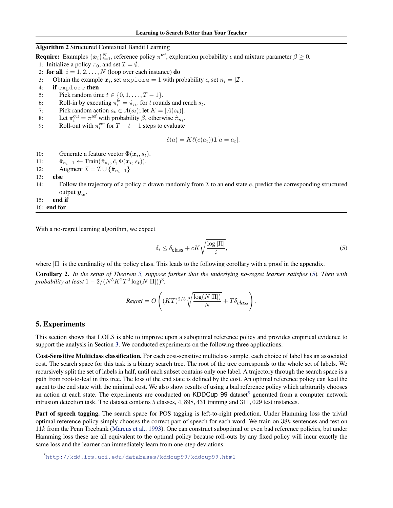### <span id="page-8-0"></span>Algorithm 2 Structured Contextual Bandit Learning

**Require:** Examples  $\{x_i\}_{i=1}^N$ , reference policy  $\pi^{\text{ref}}$ , exploration probability  $\epsilon$  and mixture parameter  $\beta \ge 0$ .

- 1: Initialize a policy  $\pi_0$ , and set  $\mathcal{I} = \emptyset$ .
- 2: for all  $i = 1, 2, ..., N$  (loop over each instance) do
- 3: Obtain the example  $x_i$ , set  $\exp \log 10$  with probability  $\epsilon$ , set  $n_i = |\mathcal{I}|$ .
- 4: if explore then
- 5: Pick random time  $t \in \{0, 1, ..., T 1\}.$
- 6: Roll-in by executing  $\pi_i^{\text{in}} = \hat{\pi}_{n_i}$  for t rounds and reach  $s_t$ .
- 7: Pick random action  $a_t \in A(s_t)$ ; let  $K = |A(s_t)|$ .
- 8: Let  $\pi_i^{\text{out}} = \pi^{\text{ref}}$  with probability  $\beta$ , otherwise  $\hat{\pi}_{n_i}$ .
- 9: Roll-out with  $\pi_i^{\text{out}}$  for  $T t 1$  steps to evaluate

$$
\hat{c}(a) = K\ell(e(a_t))\mathbf{1}[a = a_t].
$$

- 10: Generate a feature vector  $\Phi(\mathbf{x}_i, s_t)$ .
- 11:  $\hat{\pi}_{n_i+1} \leftarrow \text{Train}(\hat{\pi}_{n_i}, \hat{c}, \Phi(\boldsymbol{x}_i, s_t)).$
- 12: Augment  $\mathcal{I} = \mathcal{I} \cup \{\hat{\pi}_{n_i+1}\}\$
- 13: else
- 14: Follow the trajectory of a policy  $\pi$  drawn randomly from  $\mathcal I$  to an end state e, predict the corresponding structured output  $y_{ie}$ .
- 15: end if

16: end for

With a no-regret learning algorithm, we expect

$$
\delta_i \le \delta_{\text{class}} + cK \sqrt{\frac{\log|\Pi|}{i}},\tag{5}
$$

where  $|\Pi|$  is the cardinality of the policy class. This leads to the following corollary with a proof in the appendix.

Corollary 2. *In the setup of Theorem [5,](#page-7-0) suppose further that the underlying no-regret learner satisfies* (5)*. Then with* probability at least  $1 - 2/(N^5 K^2 T^2 \log(N|\Pi|))^3$ ,

$$
Regret = O\left((KT)^{2/3} \sqrt[3]{\frac{\log(N|\Pi|)}{N}} + T\delta_{class}\right).
$$

# 5. Experiments

This section shows that LOLS is able to improve upon a suboptimal reference policy and provides empirical evidence to support the analysis in Section [3.](#page-4-0) We conducted experiments on the following three applications.

Cost-Sensitive Multiclass classification. For each cost-sensitive multiclass sample, each choice of label has an associated cost. The search space for this task is a binary search tree. The root of the tree corresponds to the whole set of labels. We recursively split the set of labels in half, until each subset contains only one label. A trajectory through the search space is a path from root-to-leaf in this tree. The loss of the end state is defined by the cost. An optimal reference policy can lead the agent to the end state with the minimal cost. We also show results of using a bad reference policy which arbitrarily chooses an action at each state. The experiments are conducted on KDDCup 99 dataset<sup>5</sup> generated from a computer network intrusion detection task. The dataset contains 5 classes, 4, 898, 431 training and 311, 029 test instances.

Part of speech tagging. The search space for POS tagging is left-to-right prediction. Under Hamming loss the trivial optimal reference policy simply chooses the correct part of speech for each word. We train on 38k sentences and test on 11k from the Penn Treebank [\(Marcus et al.,](#page-14-0) [1993\)](#page-14-0). One can construct suboptimal or even bad reference policies, but under Hamming loss these are all equivalent to the optimal policy because roll-outs by any fixed policy will incur exactly the same loss and the learner can immediately learn from one-step deviations.

<sup>5</sup>[http://kdd.ics.uci.edu/databases/kddcup99/kddcup99.html]( http://kdd.ics.uci.edu/databases/kddcup99/kddcup99.html)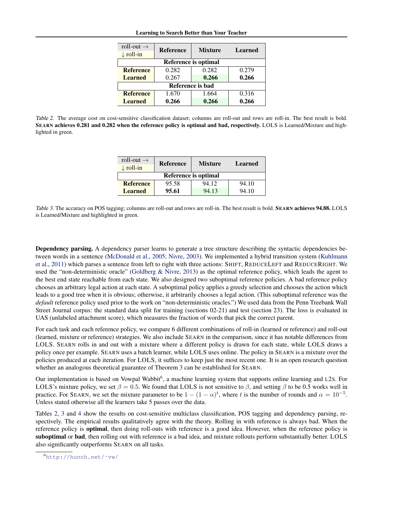| roll-out $\rightarrow$<br>$\downarrow$ roll-in | <b>Reference</b> | <b>Mixture</b> | <b>Learned</b> |
|------------------------------------------------|------------------|----------------|----------------|
| Reference is optimal                           |                  |                |                |
| <b>Reference</b>                               | 0.282            | 0.282          | 0.279          |
| <b>Learned</b>                                 | 0.267            | 0.266          | 0.266          |
| Reference is bad                               |                  |                |                |
| <b>Reference</b>                               | 1.670            | 1.664          | 0.316          |
| <b>Learned</b>                                 | 0.266            | 0.266          | 0.266          |

Table 2. The average cost on cost-sensitive classification dataset; columns are roll-out and rows are roll-in. The best result is bold. SEARN achieves 0.281 and 0.282 when the reference policy is optimal and bad, respectively. LOLS is Learned/Mixture and highlighted in green.

| roll-out $\rightarrow$<br>$\downarrow$ roll-in | <b>Reference</b> | <b>Mixture</b> | Learned |
|------------------------------------------------|------------------|----------------|---------|
| Reference is optimal                           |                  |                |         |
| <b>Reference</b>                               | 95.58            | 94.12          | 94.10   |
| <b>Learned</b>                                 | 95.61            | 94.13          | 94.10   |

Table 3. The accuracy on POS tagging; columns are roll-out and rows are roll-in. The best result is bold. SEARN achieves 94.88. LOLS is Learned/Mixture and highlighted in green.

Dependency parsing. A dependency parser learns to generate a tree structure describing the syntactic dependencies between words in a sentence [\(McDonald et al.,](#page-14-0) [2005;](#page-14-0) [Nivre,](#page-14-0) [2003\)](#page-14-0). We implemented a hybrid transition system [\(Kuhlmann](#page-14-0) [et al.,](#page-14-0) [2011\)](#page-14-0) which parses a sentence from left to right with three actions: SHIFT, REDUCELEFT and REDUCERIGHT. We used the "non-deterministic oracle" [\(Goldberg & Nivre,](#page-14-0) [2013\)](#page-14-0) as the optimal reference policy, which leads the agent to the best end state reachable from each state. We also designed two suboptimal reference policies. A bad reference policy chooses an arbitrary legal action at each state. A suboptimal policy applies a greedy selection and chooses the action which leads to a good tree when it is obvious; otherwise, it arbitrarily chooses a legal action. (This suboptimal reference was the *default* reference policy used prior to the work on "non-deterministic oracles.") We used data from the Penn Treebank Wall Street Journal corpus: the standard data split for training (sections 02-21) and test (section 23). The loss is evaluated in UAS (unlabeled attachment score), which measures the fraction of words that pick the correct parent.

For each task and each reference policy, we compare 6 different combinations of roll-in (learned or reference) and roll-out (learned, mixture or reference) strategies. We also include SEARN in the comparison, since it has notable differences from LOLS. SEARN rolls in and out with a mixture where a different policy is drawn for each state, while LOLS draws a policy once per example. SEARN uses a batch learner, while LOLS uses online. The policy in SEARN is a mixture over the policies produced at each iteration. For LOLS, it suffices to keep just the most recent one. It is an open research question whether an analogous theoretical guarantee of Theorem [3](#page-6-0) can be established for SEARN.

Our implementation is based on Vowpal Wabbit<sup>6</sup>, a machine learning system that supports online learning and L2s. For LOLS's mixture policy, we set  $\beta = 0.5$ . We found that LOLS is not sensitive to  $\beta$ , and setting  $\beta$  to be 0.5 works well in practice. For SEARN, we set the mixture parameter to be  $1 - (1 - \alpha)^t$ , where t is the number of rounds and  $\alpha = 10^{-5}$ . Unless stated otherwise all the learners take 5 passes over the data.

Tables 2, 3 and [4](#page-10-0) show the results on cost-sensitive multiclass classification, POS tagging and dependency parsing, respectively. The empirical results qualitatively agree with the theory. Rolling in with reference is always bad. When the reference policy is optimal, then doing roll-outs with reference is a good idea. However, when the reference policy is suboptimal or bad, then rolling out with reference is a bad idea, and mixture rollouts perform substantially better. LOLS also significantly outperforms SEARN on all tasks.

<sup>6</sup>[http://hunch.net/˜vw/](http://hunch.net/~vw/)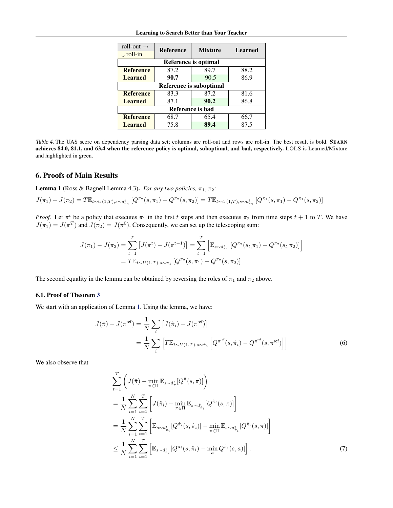<span id="page-10-0"></span>

| roll-out $\rightarrow$         | <b>Reference</b>            | <b>Mixture</b> | <b>Learned</b> |  |
|--------------------------------|-----------------------------|----------------|----------------|--|
| $\downarrow$ roll-in           |                             |                |                |  |
|                                | <b>Reference is optimal</b> |                |                |  |
| <b>Reference</b>               | 87.2                        | 89.7           | 88.2           |  |
| <b>Learned</b>                 | 90.7                        | 90.5           | 86.9           |  |
| <b>Reference is suboptimal</b> |                             |                |                |  |
| <b>Reference</b>               | 83.3                        | 87.2           | 81.6           |  |
| <b>Learned</b>                 | 87.1                        | 90.2           | 86.8           |  |
| Reference is bad               |                             |                |                |  |
| <b>Reference</b>               | 68.7                        | 65.4           | 66.7           |  |
| <b>Learned</b>                 | 75.8                        | 89.4           | 87.5           |  |

Table 4. The UAS score on dependency parsing data set; columns are roll-out and rows are roll-in. The best result is bold. SEARN achieves 84.0, 81.1, and 63.4 when the reference policy is optimal, suboptimal, and bad, respectively. LOLS is Learned/Mixture and highlighted in green.

## 6. Proofs of Main Results

**Lemma 1** (Ross & Bagnell Lemma 4.3). *For any two policies,*  $\pi_1, \pi_2$ *:* 

$$
J(\pi_1) - J(\pi_2) = T \mathbb{E}_{t \sim U(1,T), s \sim d_{\pi_1}^t} \left[ Q^{\pi_2}(s, \pi_1) - Q^{\pi_2}(s, \pi_2) \right] = T \mathbb{E}_{t \sim U(1,T), s \sim d_{\pi_2}^t} \left[ Q^{\pi_1}(s, \pi_1) - Q^{\pi_1}(s, \pi_2) \right]
$$

*Proof.* Let  $\pi^t$  be a policy that executes  $\pi_1$  in the first t steps and then executes  $\pi_2$  from time steps  $t + 1$  to T. We have  $J(\pi_1) = J(\pi^T)$  and  $J(\pi_2) = J(\pi^0)$ . Consequently, we can set up the telescoping sum:

$$
J(\pi_1) - J(\pi_2) = \sum_{t=1}^T \left[ J(\pi^t) - J(\pi^{t-1}) \right] = \sum_{t=1}^T \left[ \mathbb{E}_{s \sim d_{\pi_1}^t} \left[ Q^{\pi_2}(s_t, \pi_1) - Q^{\pi_2}(s_t, \pi_2) \right] \right]
$$
  
=  $T \mathbb{E}_{t \sim U(1,T), s \sim \pi_1} \left[ Q^{\pi_2}(s, \pi_1) - Q^{\pi_2}(s, \pi_2) \right]$ 

The second equality in the lemma can be obtained by reversing the roles of  $\pi_1$  and  $\pi_2$  above.

## 6.1. Proof of Theorem [3](#page-6-0)

We start with an application of Lemma 1. Using the lemma, we have:

$$
J(\bar{\pi}) - J(\pi^{\text{ref}}) = \frac{1}{N} \sum_{i} \left[ J(\hat{\pi}_i) - J(\pi^{\text{ref}}) \right]
$$

$$
= \frac{1}{N} \sum_{i} \left[ T \mathbb{E}_{t \sim U(1,T), s \sim \hat{\pi}_i} \left[ Q^{\pi^{\text{ref}}}(s, \hat{\pi}_i) - Q^{\pi^{\text{ref}}}(s, \pi^{\text{ref}}) \right] \right]
$$
(6)

 $\Box$ 

We also observe that

$$
\sum_{t=1}^{T} \left( J(\bar{\pi}) - \min_{\pi \in \Pi} \mathbb{E}_{s \sim d_{\pi}^{t}} [Q^{\bar{\pi}}(s, \pi)] \right)
$$
\n
$$
= \frac{1}{N} \sum_{i=1}^{N} \sum_{t=1}^{T} \left[ J(\hat{\pi}_{i}) - \min_{\pi \in \Pi} \mathbb{E}_{s \sim d_{\pi_{i}}^{t}} [Q^{\hat{\pi}_{i}}(s, \pi)] \right]
$$
\n
$$
= \frac{1}{N} \sum_{i=1}^{N} \sum_{t=1}^{T} \left[ \mathbb{E}_{s \sim d_{\pi_{i}}^{t}} [Q^{\hat{\pi}_{i}}(s, \hat{\pi}_{i})] - \min_{\pi \in \Pi} \mathbb{E}_{s \sim d_{\pi_{i}}^{t}} [Q^{\hat{\pi}_{i}}(s, \pi)] \right]
$$
\n
$$
\leq \frac{1}{N} \sum_{i=1}^{N} \sum_{t=1}^{T} \left[ \mathbb{E}_{s \sim d_{\pi_{i}}^{t}} [Q^{\hat{\pi}_{i}}(s, \hat{\pi}_{i}) - \min_{a} Q^{\hat{\pi}_{i}}(s, a)] \right].
$$
\n(7)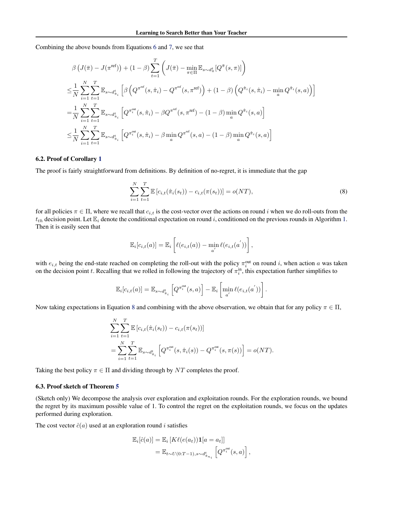Combining the above bounds from Equations [6](#page-10-0) and [7,](#page-10-0) we see that

$$
\beta \left( J(\bar{\pi}) - J(\pi^{\text{ref}}) \right) + (1 - \beta) \sum_{t=1}^{T} \left( J(\bar{\pi}) - \min_{\pi \in \Pi} \mathbb{E}_{s \sim d_{\bar{\pi}}} [Q^{\bar{\pi}}(s, \pi)] \right)
$$
\n
$$
\leq \frac{1}{N} \sum_{i=1}^{N} \sum_{t=1}^{T} \mathbb{E}_{s \sim d_{\bar{\pi}_i}^t} \left[ \beta \left( Q^{\pi^{\text{ref}}}(s, \hat{\pi}_i) - Q^{\pi^{\text{ref}}}(s, \pi^{\text{ref}}) \right) + (1 - \beta) \left( Q^{\hat{\pi}_i}(s, \hat{\pi}_i) - \min_{a} Q^{\hat{\pi}_i}(s, a) \right) \right]
$$
\n
$$
= \frac{1}{N} \sum_{i=1}^{N} \sum_{t=1}^{T} \mathbb{E}_{s \sim d_{\bar{\pi}_i}^t} \left[ Q^{\pi_i^{\text{out}}}(s, \hat{\pi}_i) - \beta Q^{\pi^{\text{ref}}}(s, \pi^{\text{ref}}) - (1 - \beta) \min_{a} Q^{\hat{\pi}_i}(s, a) \right]
$$
\n
$$
\leq \frac{1}{N} \sum_{i=1}^{N} \sum_{t=1}^{T} \mathbb{E}_{s \sim d_{\bar{\pi}_i}^t} \left[ Q^{\pi_i^{\text{out}}}(s, \hat{\pi}_i) - \beta \min_{a} Q^{\pi^{\text{ref}}}(s, a) - (1 - \beta) \min_{a} Q^{\hat{\pi}_i}(s, a) \right]
$$

#### 6.2. Proof of Corollary [1](#page-6-0)

The proof is fairly straightforward from definitions. By definition of no-regret, it is immediate that the gap

$$
\sum_{i=1}^{N} \sum_{t=1}^{T} \mathbb{E} \left[ c_{i,t}(\hat{\pi}_i(s_t)) - c_{i,t}(\pi(s_t)) \right] = o(NT), \tag{8}
$$

for all policies  $\pi \in \Pi$ , where we recall that  $c_{i,t}$  is the cost-vector over the actions on round i when we do roll-outs from the  $t_{th}$  decision point. Let  $\mathbb{E}_i$  denote the conditional expectation on round i, conditioned on the previous rounds in Algorithm [1.](#page-3-0) Then it is easily seen that

$$
\mathbb{E}_i[c_{i,t}(a)] = \mathbb{E}_i\left[\ell(e_{i,t}(a)) - \min_{a'} \ell(e_{i,t}(a'))\right],
$$

with  $e_{i,t}$  being the end-state reached on completing the roll-out with the policy  $\pi_i^{\text{out}}$  on round i, when action a was taken on the decision point t. Recalling that we rolled in following the trajectory of  $\pi_i^{\text{in}}$ , this expectation further simplifies to

$$
\mathbb{E}_i[c_{i,t}(a)] = \mathbb{E}_{s \sim d_{\hat{\pi}_i}^t} \left[ Q^{\pi_i^{\text{out}}}(s, a) \right] - \mathbb{E}_i \left[ \min_{a'} \ell(e_{i,t}(a')) \right].
$$

Now taking expectations in Equation 8 and combining with the above observation, we obtain that for any policy  $\pi \in \Pi$ ,

$$
\sum_{i=1}^{N} \sum_{t=1}^{T} \mathbb{E} \left[ c_{i,t}(\hat{\pi}_i(s_t)) - c_{i,t}(\pi(s_t)) \right]
$$
  
= 
$$
\sum_{i=1}^{N} \sum_{t=1}^{T} \mathbb{E}_{s \sim d_{\hat{\pi}_i}^t} \left[ Q^{\pi_i^{\text{out}}}(s, \hat{\pi}_i(s)) - Q^{\pi_i^{\text{out}}}(s, \pi(s)) \right] = o(NT).
$$

Taking the best policy  $\pi \in \Pi$  and dividing through by NT completes the proof.

#### 6.3. Proof sketch of Theorem [5](#page-7-0)

(Sketch only) We decompose the analysis over exploration and exploitation rounds. For the exploration rounds, we bound the regret by its maximum possible value of 1. To control the regret on the exploitation rounds, we focus on the updates performed during exploration.

The cost vector  $\hat{c}(a)$  used at an exploration round *i* satisfies

$$
\mathbb{E}_{i}[\hat{c}(a)] = \mathbb{E}_{i} \left[ K\ell(e(a_{t})) \mathbf{1}[a = a_{t}] \right]
$$
  
= 
$$
\mathbb{E}_{t \sim U(0:T-1), s \sim d_{\hat{\pi}_{n_i}}^{t}} \left[ Q^{\pi_i^{\text{out}}}(s, a) \right],
$$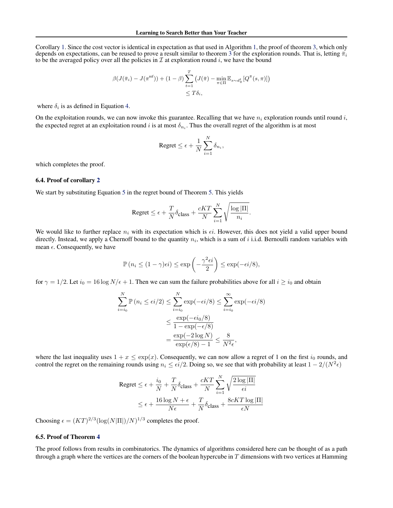Corollary [1.](#page-6-0) Since the cost vector is identical in expectation as that used in Algorithm [1,](#page-3-0) the proof of theorem [3,](#page-6-0) which only depends on expectations, can be reused to prove a result similar to theorem [3](#page-6-0) for the exploration rounds. That is, letting  $\bar{\pi}_i$ to be the averaged policy over all the policies in  $\mathcal I$  at exploration round i, we have the bound

$$
\beta(J(\bar{\pi}_i) - J(\pi^{\text{ref}})) + (1 - \beta) \sum_{t=1}^T \left( J(\bar{\pi}) - \min_{\pi \in \Pi} \mathbb{E}_{s \sim d_{\bar{\pi}}} [Q^{\bar{\pi}}(s, \pi)] \right) \le T\delta_i,
$$

where  $\delta_i$  is as defined in Equation [4.](#page-5-0)

On the exploitation rounds, we can now invoke this guarantee. Recalling that we have  $n_i$  exploration rounds until round i, the expected regret at an exploitation round i is at most  $\delta_{n_i}$ . Thus the overall regret of the algorithm is at most

$$
\text{Regret} \leq \epsilon + \frac{1}{N} \sum_{i=1}^N \delta_{n_i},
$$

which completes the proof.

#### 6.4. Proof of corollary [2](#page-8-0)

We start by substituting Equation [5](#page-8-0) in the regret bound of Theorem [5.](#page-7-0) This yields

$$
\text{Regret} \leq \epsilon + \frac{T}{N} \delta_{\text{class}} + \frac{cKT}{N} \sum_{i=1}^N \sqrt{\frac{\log |\Pi|}{n_i}}.
$$

We would like to further replace  $n_i$  with its expectation which is  $\epsilon i$ . However, this does not yield a valid upper bound directly. Instead, we apply a Chernoff bound to the quantity  $n_i$ , which is a sum of i i.i.d. Bernoulli random variables with mean  $\epsilon$ . Consequently, we have

$$
\mathbb{P}\left(n_i \leq (1-\gamma)\epsilon i\right) \leq \exp\left(-\frac{\gamma^2 \epsilon i}{2}\right) \leq \exp(-\epsilon i/8),
$$

for  $\gamma = 1/2$ . Let  $i_0 = 16 \log N/\epsilon + 1$ . Then we can sum the failure probabilities above for all  $i \ge i_0$  and obtain

$$
\sum_{i=i_0}^{N} \mathbb{P}(n_i \le \epsilon i/2) \le \sum_{i=i_0}^{N} \exp(-\epsilon i/8) \le \sum_{i=i_0}^{\infty} \exp(-\epsilon i/8)
$$

$$
\le \frac{\exp(-\epsilon i_0/8)}{1 - \exp(-\epsilon/8)}
$$

$$
= \frac{\exp(-2 \log N)}{\exp(\epsilon/8) - 1} \le \frac{8}{N^2 \epsilon},
$$

where the last inequality uses  $1 + x \leq \exp(x)$ . Consequently, we can now allow a regret of 1 on the first  $i_0$  rounds, and control the regret on the remaining rounds using  $n_i \le \epsilon i/2$ . Doing so, we see that with probability at least  $1 - 2/(N^2 \epsilon)$ 

$$
\begin{aligned} \text{Regret} &\leq \epsilon + \frac{i_0}{N} + \frac{T}{N} \delta_{\text{class}} + \frac{cKT}{N} \sum_{i=1}^{N} \sqrt{\frac{2\log|\Pi|}{\epsilon i}} \\ &\leq \epsilon + \frac{16\log N + \epsilon}{N\epsilon} + \frac{T}{N} \delta_{\text{class}} + \frac{8cKT\log|\Pi|}{\epsilon N} \end{aligned}
$$

Choosing  $\epsilon = (KT)^{2/3} (\log(N|\Pi|)/N)^{1/3}$  completes the proof.

### 6.5. Proof of Theorem [4](#page-7-0)

The proof follows from results in combinatorics. The dynamics of algorithms considered here can be thought of as a path through a graph where the vertices are the corners of the boolean hypercube in  $T$  dimensions with two vertices at Hamming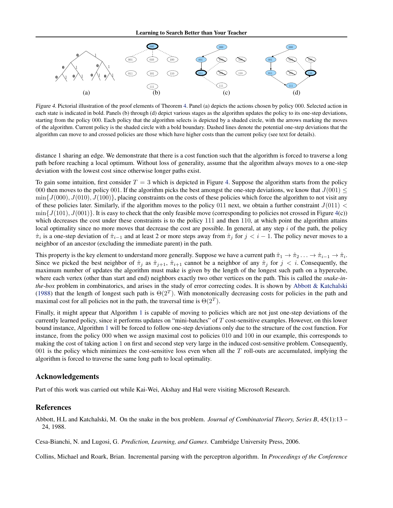<span id="page-13-0"></span>

Figure 4. Pictorial illustration of the proof elements of Theorem [4.](#page-7-0) Panel (a) depicts the actions chosen by policy 000. Selected action in each state is indicated in bold. Panels (b) through (d) depict various stages as the algorithm updates the policy to its one-step deviations, starting from the policy 000. Each policy that the algorithm selects is depicted by a shaded circle, with the arrows marking the moves of the algorithm. Current policy is the shaded circle with a bold boundary. Dashed lines denote the potential one-step deviations that the algorithm can move to and crossed policies are those which have higher costs than the current policy (see text for details).

distance 1 sharing an edge. We demonstrate that there is a cost function such that the algorithm is forced to traverse a long path before reaching a local optimum. Without loss of generality, assume that the algorithm always moves to a one-step deviation with the lowest cost since otherwise longer paths exist.

To gain some intuition, first consider  $T = 3$  which is depicted in Figure 4. Suppose the algorithm starts from the policy 000 then moves to the policy 001. If the algorithm picks the best amongst the one-step deviations, we know that  $J(001) \leq$  $\min\{J(000), J(010), J(100)\}\$ , placing constraints on the costs of these policies which force the algorithm to not visit any of these policies later. Similarly, if the algorithm moves to the policy 011 next, we obtain a further constraint  $J(011)$  <  $\min\{J(101), J(001)\}\$ . It is easy to check that the only feasible move (corresponding to policies not crossed in Figure 4(c)) which decreases the cost under these constraints is to the policy 111 and then 110, at which point the algorithm attains local optimality since no more moves that decrease the cost are possible. In general, at any step  $i$  of the path, the policy  $\hat{\pi}_i$  is a one-step deviation of  $\hat{\pi}_{i-1}$  and at least 2 or more steps away from  $\hat{\pi}_j$  for  $j < i-1$ . The policy never moves to a neighbor of an ancestor (excluding the immediate parent) in the path.

This property is the key element to understand more generally. Suppose we have a current path  $\hat{\pi}_1 \to \hat{\pi}_2 \dots \to \hat{\pi}_{i-1} \to \hat{\pi}_i$ . Since we picked the best neighbor of  $\hat{\pi}_j$  as  $\hat{\pi}_{j+1}$ ,  $\hat{\pi}_{i+1}$  cannot be a neighbor of any  $\hat{\pi}_j$  for  $j < i$ . Consequently, the maximum number of updates the algorithm must make is given by the length of the longest such path on a hypercube, where each vertex (other than start and end) neighbors exactly two other vertices on the path. This is called the *snake-inthe-box* problem in combinatorics, and arises in the study of error correcting codes. It is shown by Abbott & Katchalski (1988) that the length of longest such path is  $\Theta(2^T)$ . With monotonically decreasing costs for policies in the path and maximal cost for all policies not in the path, the traversal time is  $\Theta(2^T)$ .

Finally, it might appear that Algorithm [1](#page-3-0) is capable of moving to policies which are not just one-step deviations of the currently learned policy, since it performs updates on "mini-batches" of T cost-sensitive examples. However, on this lower bound instance, Algorithm [1](#page-3-0) will be forced to follow one-step deviations only due to the structure of the cost function. For instance, from the policy 000 when we assign maximal cost to policies 010 and 100 in our example, this corresponds to making the cost of taking action 1 on first and second step very large in the induced cost-sensitive problem. Consequently,  $001$  is the policy which minimizes the cost-sensitive loss even when all the  $T$  roll-outs are accumulated, implying the algorithm is forced to traverse the same long path to local optimality.

# Acknowledgements

Part of this work was carried out while Kai-Wei, Akshay and Hal were visiting Microsoft Research.

#### References

Abbott, H.L and Katchalski, M. On the snake in the box problem. *Journal of Combinatorial Theory, Series B*, 45(1):13 – 24, 1988.

Cesa-Bianchi, N. and Lugosi, G. *Prediction, Learning, and Games*. Cambridge University Press, 2006.

Collins, Michael and Roark, Brian. Incremental parsing with the perceptron algorithm. In *Proceedings of the Conference*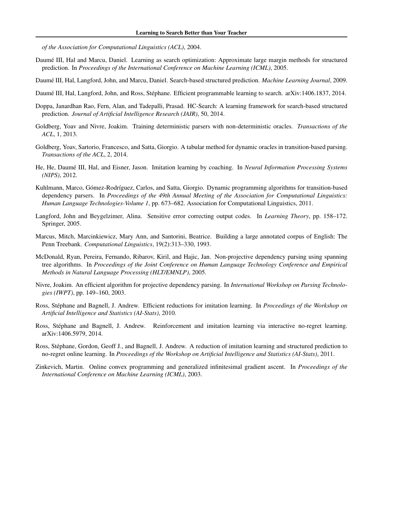<span id="page-14-0"></span>*of the Association for Computational Linguistics (ACL)*, 2004.

- Daumé III, Hal and Marcu, Daniel. Learning as search optimization: Approximate large margin methods for structured prediction. In *Proceedings of the International Conference on Machine Learning (ICML)*, 2005.
- Daumé III, Hal, Langford, John, and Marcu, Daniel. Search-based structured prediction. *Machine Learning Journal*, 2009.
- Daumé III, Hal, Langford, John, and Ross, Stéphane. Efficient programmable learning to search. arXiv:1406.1837, 2014.
- Doppa, Janardhan Rao, Fern, Alan, and Tadepalli, Prasad. HC-Search: A learning framework for search-based structured prediction. *Journal of Artificial Intelligence Research (JAIR)*, 50, 2014.
- Goldberg, Yoav and Nivre, Joakim. Training deterministic parsers with non-deterministic oracles. *Transactions of the ACL*, 1, 2013.
- Goldberg, Yoav, Sartorio, Francesco, and Satta, Giorgio. A tabular method for dynamic oracles in transition-based parsing. *Transactions of the ACL*, 2, 2014.
- He, He, Daume III, Hal, and Eisner, Jason. Imitation learning by coaching. In ´ *Neural Information Processing Systems (NIPS)*, 2012.
- Kuhlmann, Marco, Gómez-Rodríguez, Carlos, and Satta, Giorgio. Dynamic programming algorithms for transition-based dependency parsers. In *Proceedings of the 49th Annual Meeting of the Association for Computational Linguistics: Human Language Technologies-Volume 1*, pp. 673–682. Association for Computational Linguistics, 2011.
- Langford, John and Beygelzimer, Alina. Sensitive error correcting output codes. In *Learning Theory*, pp. 158–172. Springer, 2005.
- Marcus, Mitch, Marcinkiewicz, Mary Ann, and Santorini, Beatrice. Building a large annotated corpus of English: The Penn Treebank. *Computational Linguistics*, 19(2):313–330, 1993.
- McDonald, Ryan, Pereira, Fernando, Ribarov, Kiril, and Hajic, Jan. Non-projective dependency parsing using spanning tree algorithms. In *Proceedings of the Joint Conference on Human Language Technology Conference and Empirical Methods in Natural Language Processing (HLT/EMNLP)*, 2005.
- Nivre, Joakim. An efficient algorithm for projective dependency parsing. In *International Workshop on Parsing Technologies (IWPT)*, pp. 149–160, 2003.
- Ross, Stephane and Bagnell, J. Andrew. Efficient reductions for imitation learning. In ´ *Proceedings of the Workshop on Artificial Intelligence and Statistics (AI-Stats)*, 2010.
- Ross, Stephane and Bagnell, J. Andrew. Reinforcement and imitation learning via interactive no-regret learning. ´ arXiv:1406.5979, 2014.
- Ross, Stephane, Gordon, Geoff J., and Bagnell, J. Andrew. A reduction of imitation learning and structured prediction to ´ no-regret online learning. In *Proceedings of the Workshop on Artificial Intelligence and Statistics (AI-Stats)*, 2011.
- Zinkevich, Martin. Online convex programming and generalized infinitesimal gradient ascent. In *Proceedings of the International Conference on Machine Learning (ICML)*, 2003.